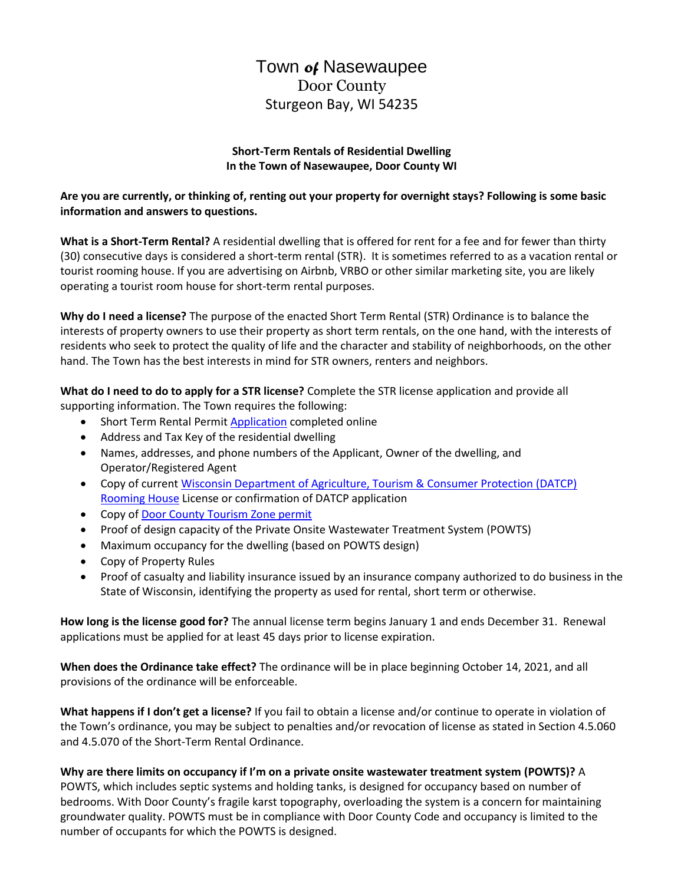# Town *of* Nasewaupee Door County Sturgeon Bay, WI 54235

#### **Short-Term Rentals of Residential Dwelling In the Town of Nasewaupee, Door County WI**

## **Are you are currently, or thinking of, renting out your property for overnight stays? Following is some basic information and answers to questions.**

**What is a Short-Term Rental?** A residential dwelling that is offered for rent for a fee and for fewer than thirty (30) consecutive days is considered a short-term rental (STR). It is sometimes referred to as a vacation rental or tourist rooming house. If you are advertising on Airbnb, VRBO or other similar marketing site, you are likely operating a tourist room house for short-term rental purposes.

**Why do I need a license?** The purpose of the enacted Short Term Rental (STR) Ordinance is to balance the interests of property owners to use their property as short term rentals, on the one hand, with the interests of residents who seek to protect the quality of life and the character and stability of neighborhoods, on the other hand. The Town has the best interests in mind for STR owners, renters and neighbors.

**What do I need to do to apply for a STR license?** Complete the STR license application and provide all supporting information. The Town requires the following:

- Short Term Rental Permit **Application** completed online
- Address and Tax Key of the residential dwelling
- Names, addresses, and phone numbers of the Applicant, Owner of the dwelling, and Operator/Registered Agent
- Copy of current [Wisconsin Department of Agriculture, Tourism & Consumer Protection \(DATCP\)](https://datcp.wi.gov/Pages/Programs_Services/TouristRoomingHouses.aspx) [Rooming House](https://datcp.wi.gov/Pages/Programs_Services/TouristRoomingHouses.aspx) License or confirmation of DATCP application
- Copy o[f Door County Tourism Zone permit](https://www.doorcountytourismzone.com/)
- Proof of design capacity of the Private Onsite Wastewater Treatment System (POWTS)
- Maximum occupancy for the dwelling (based on POWTS design)
- Copy of Property Rules
- Proof of casualty and liability insurance issued by an insurance company authorized to do business in the State of Wisconsin, identifying the property as used for rental, short term or otherwise.

**How long is the license good for?** The annual license term begins January 1 and ends December 31. Renewal applications must be applied for at least 45 days prior to license expiration.

**When does the Ordinance take effect?** The ordinance will be in place beginning October 14, 2021, and all provisions of the ordinance will be enforceable.

**What happens if I don't get a license?** If you fail to obtain a license and/or continue to operate in violation of the Town's ordinance, you may be subject to penalties and/or revocation of license as stated in Section 4.5.060 and 4.5.070 of the Short-Term Rental Ordinance.

**Why are there limits on occupancy if I'm on a private onsite wastewater treatment system (POWTS)?** A POWTS, which includes septic systems and holding tanks, is designed for occupancy based on number of bedrooms. With Door County's fragile karst topography, overloading the system is a concern for maintaining groundwater quality. POWTS must be in compliance with Door County Code and occupancy is limited to the number of occupants for which the POWTS is designed.